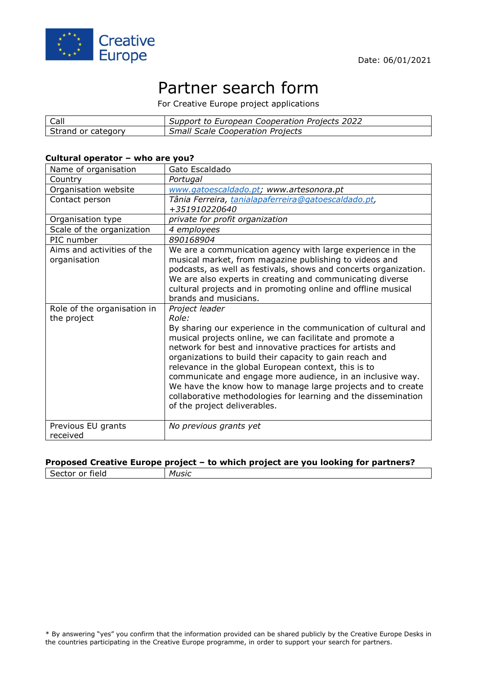

# Partner search form

For Creative Europe project applications

| Call               | Support to European Cooperation Projects 2022 |
|--------------------|-----------------------------------------------|
| Strand or category | <b>Small Scale Cooperation Projects</b>       |

#### **Cultural operator – who are you?**

| Name of organisation                       | Gato Escaldado                                                                                                                                                                                                                                                                                                                                                                                                                                                                                                                                                       |
|--------------------------------------------|----------------------------------------------------------------------------------------------------------------------------------------------------------------------------------------------------------------------------------------------------------------------------------------------------------------------------------------------------------------------------------------------------------------------------------------------------------------------------------------------------------------------------------------------------------------------|
| Country                                    | Portugal                                                                                                                                                                                                                                                                                                                                                                                                                                                                                                                                                             |
| Organisation website                       | www.gatoescaldado.pt; www.artesonora.pt                                                                                                                                                                                                                                                                                                                                                                                                                                                                                                                              |
| Contact person                             | Tânia Ferreira, tanialapaferreira@gatoescaldado.pt,<br>+351910220640                                                                                                                                                                                                                                                                                                                                                                                                                                                                                                 |
| Organisation type                          | private for profit organization                                                                                                                                                                                                                                                                                                                                                                                                                                                                                                                                      |
| Scale of the organization                  | 4 employees                                                                                                                                                                                                                                                                                                                                                                                                                                                                                                                                                          |
| PIC number                                 | 890168904                                                                                                                                                                                                                                                                                                                                                                                                                                                                                                                                                            |
| Aims and activities of the<br>organisation | We are a communication agency with large experience in the<br>musical market, from magazine publishing to videos and<br>podcasts, as well as festivals, shows and concerts organization.<br>We are also experts in creating and communicating diverse<br>cultural projects and in promoting online and offline musical<br>brands and musicians.                                                                                                                                                                                                                      |
| Role of the organisation in<br>the project | Project leader<br>Role:<br>By sharing our experience in the communication of cultural and<br>musical projects online, we can facilitate and promote a<br>network for best and innovative practices for artists and<br>organizations to build their capacity to gain reach and<br>relevance in the global European context, this is to<br>communicate and engage more audience, in an inclusive way.<br>We have the know how to manage large projects and to create<br>collaborative methodologies for learning and the dissemination<br>of the project deliverables. |
| Previous EU grants<br>received             | No previous grants yet                                                                                                                                                                                                                                                                                                                                                                                                                                                                                                                                               |

#### **Proposed Creative Europe project – to which project are you looking for partners?**

Sector or field *Music*